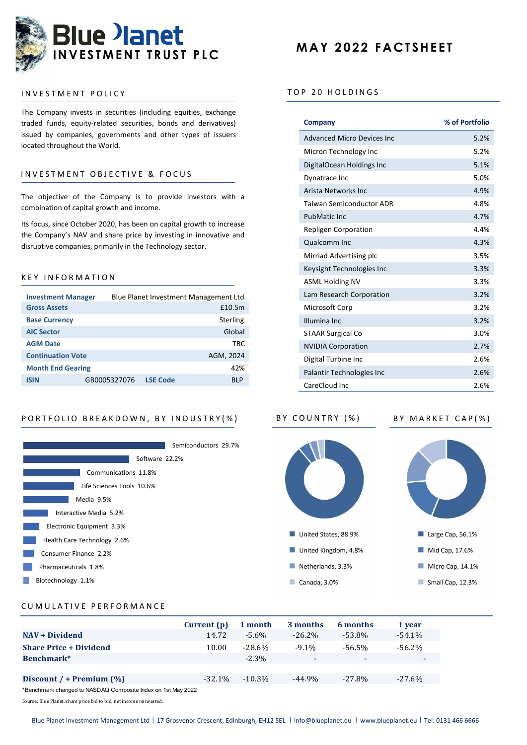

## INVESTMENT POLICY

The Company invests in securities (including equities, exchange traded funds, equity-related securities, bonds and derivatives) issued by companies, governments and other types of issuers located throughout the World.

# INVESTMENT OBJECTIVE & FOCUS

# K E Y I N F O R M A T I O N

| <b>Investment Manager</b> | Blue Planet Investment Management Ltd   |
|---------------------------|-----------------------------------------|
| <b>Gross Assets</b>       | £10.5m                                  |
| <b>Base Currency</b>      | <b>Sterling</b>                         |
| <b>AIC Sector</b>         | Global                                  |
| <b>AGM Date</b>           | TBC                                     |
| <b>Continuation Vote</b>  | AGM, 2024                               |
| <b>Month End Gearing</b>  | 42%                                     |
| <b>ISIN</b>               | <b>LSE Code</b><br>GB0005327076<br>BI P |



# **MAY 2022 FACTSHEET**

## TOP 20 HOLDINGS

| The company invests in securities (including equities, exchange<br>traded funds, equity-related securities, bonds and derivatives)<br>issued by companies, governments and other types of issuers<br>located throughout the World.<br>INVESTMENT OBJECTIVE & FOCUS |                                                                       | Company                           | % of Portfolio                  |      |
|--------------------------------------------------------------------------------------------------------------------------------------------------------------------------------------------------------------------------------------------------------------------|-----------------------------------------------------------------------|-----------------------------------|---------------------------------|------|
|                                                                                                                                                                                                                                                                    |                                                                       | <b>Advanced Micro Devices Inc</b> | 5.2%                            |      |
|                                                                                                                                                                                                                                                                    |                                                                       | Micron Technology Inc             | 5.2%                            |      |
|                                                                                                                                                                                                                                                                    |                                                                       | DigitalOcean Holdings Inc         | 5.1%                            |      |
|                                                                                                                                                                                                                                                                    |                                                                       | Dynatrace Inc                     | 5.0%                            |      |
| The objective of the Company is to provide investors with a<br>combination of capital growth and income.                                                                                                                                                           |                                                                       | Arista Networks Inc               | 4.9%                            |      |
|                                                                                                                                                                                                                                                                    |                                                                       |                                   | <b>Taiwan Semiconductor ADR</b> | 4.8% |
|                                                                                                                                                                                                                                                                    |                                                                       |                                   | PubMatic Inc                    | 4.7% |
|                                                                                                                                                                                                                                                                    | Its focus, since October 2020, has been on capital growth to increase |                                   | Repligen Corporation            | 4.4% |
| the Company's NAV and share price by investing in innovative and<br>disruptive companies, primarily in the Technology sector.                                                                                                                                      |                                                                       |                                   | Qualcomm Inc                    | 4.3% |
|                                                                                                                                                                                                                                                                    |                                                                       |                                   | Mirriad Advertising plc         | 3.5% |
| KEY INFORMATION                                                                                                                                                                                                                                                    |                                                                       |                                   | Keysight Technologies Inc       | 3.3% |
|                                                                                                                                                                                                                                                                    |                                                                       |                                   | <b>ASML Holding NV</b>          | 3.3% |
| <b>Investment Manager</b>                                                                                                                                                                                                                                          | Blue Planet Investment Management Ltd                                 |                                   | Lam Research Corporation        | 3.2% |
| <b>Gross Assets</b>                                                                                                                                                                                                                                                |                                                                       | £10.5m                            | Microsoft Corp                  | 3.2% |
| <b>Base Currency</b>                                                                                                                                                                                                                                               |                                                                       | <b>Sterling</b>                   | Illumina Inc                    | 3.2% |
| <b>AIC Sector</b>                                                                                                                                                                                                                                                  |                                                                       | Global                            | <b>STAAR Surgical Co</b>        | 3.0% |
| <b>AGM Date</b>                                                                                                                                                                                                                                                    |                                                                       | <b>TBC</b>                        | <b>NVIDIA Corporation</b>       | 2.7% |
| <b>Continuation Vote</b>                                                                                                                                                                                                                                           |                                                                       | AGM, 2024                         | Digital Turbine Inc             | 2.6% |
| <b>Month End Gearing</b>                                                                                                                                                                                                                                           |                                                                       | 42%                               | Palantir Technologies Inc       | 2.6% |
| <b>ISIN</b>                                                                                                                                                                                                                                                        | GB0005327076 LSE Code                                                 | <b>BLP</b>                        | CareCloud Inc                   | 2.6% |



# CUMULATIVE PERFORMANCE

|                               | Current (p) | 1 month   | 3 months  | 6 months  | 1 year    |
|-------------------------------|-------------|-----------|-----------|-----------|-----------|
| <b>NAV + Dividend</b>         | 14.72       | -5.6%     | $-26.2\%$ | -53.8%    | $-54.1\%$ |
| <b>Share Price + Dividend</b> | 10.00       | $-28.6%$  | $-9.1\%$  | $-56.5%$  | $-56.2\%$ |
| Benchmark*                    |             | $-2.3\%$  | $\sim$    | $\sim$    | $\sim$    |
|                               |             |           |           |           |           |
| Discount / + Premium $(\%)$   | $-32.1\%$   | $-10.3\%$ | $-44.9\%$ | $-27.8\%$ | $-27.6\%$ |
| $*D \rightarrow \text{S}$     |             |           |           |           |           |

\*Benchmark changed to NASDAQ Composite Index on 1st May 2022

Source: Blue Planet, share price bid to bid, net income reinvested.